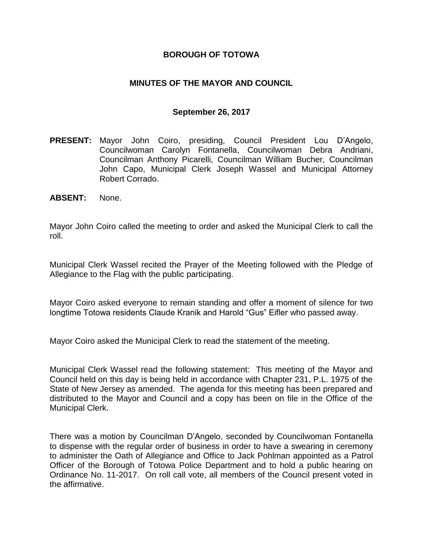#### **BOROUGH OF TOTOWA**

#### **MINUTES OF THE MAYOR AND COUNCIL**

#### **September 26, 2017**

- **PRESENT:** Mayor John Coiro, presiding, Council President Lou D'Angelo, Councilwoman Carolyn Fontanella, Councilwoman Debra Andriani, Councilman Anthony Picarelli, Councilman William Bucher, Councilman John Capo, Municipal Clerk Joseph Wassel and Municipal Attorney Robert Corrado.
- **ABSENT:** None.

Mayor John Coiro called the meeting to order and asked the Municipal Clerk to call the roll.

Municipal Clerk Wassel recited the Prayer of the Meeting followed with the Pledge of Allegiance to the Flag with the public participating.

Mayor Coiro asked everyone to remain standing and offer a moment of silence for two longtime Totowa residents Claude Kranik and Harold "Gus" Eifler who passed away.

Mayor Coiro asked the Municipal Clerk to read the statement of the meeting.

Municipal Clerk Wassel read the following statement: This meeting of the Mayor and Council held on this day is being held in accordance with Chapter 231, P.L. 1975 of the State of New Jersey as amended. The agenda for this meeting has been prepared and distributed to the Mayor and Council and a copy has been on file in the Office of the Municipal Clerk.

There was a motion by Councilman D'Angelo, seconded by Councilwoman Fontanella to dispense with the regular order of business in order to have a swearing in ceremony to administer the Oath of Allegiance and Office to Jack Pohlman appointed as a Patrol Officer of the Borough of Totowa Police Department and to hold a public hearing on Ordinance No. 11-2017. On roll call vote, all members of the Council present voted in the affirmative.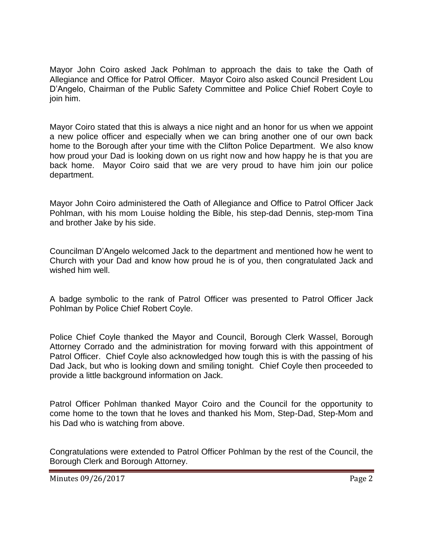Mayor John Coiro asked Jack Pohlman to approach the dais to take the Oath of Allegiance and Office for Patrol Officer. Mayor Coiro also asked Council President Lou D'Angelo, Chairman of the Public Safety Committee and Police Chief Robert Coyle to join him.

Mayor Coiro stated that this is always a nice night and an honor for us when we appoint a new police officer and especially when we can bring another one of our own back home to the Borough after your time with the Clifton Police Department. We also know how proud your Dad is looking down on us right now and how happy he is that you are back home. Mayor Coiro said that we are very proud to have him join our police department.

Mayor John Coiro administered the Oath of Allegiance and Office to Patrol Officer Jack Pohlman, with his mom Louise holding the Bible, his step-dad Dennis, step-mom Tina and brother Jake by his side.

Councilman D'Angelo welcomed Jack to the department and mentioned how he went to Church with your Dad and know how proud he is of you, then congratulated Jack and wished him well.

A badge symbolic to the rank of Patrol Officer was presented to Patrol Officer Jack Pohlman by Police Chief Robert Coyle.

Police Chief Coyle thanked the Mayor and Council, Borough Clerk Wassel, Borough Attorney Corrado and the administration for moving forward with this appointment of Patrol Officer. Chief Coyle also acknowledged how tough this is with the passing of his Dad Jack, but who is looking down and smiling tonight. Chief Coyle then proceeded to provide a little background information on Jack.

Patrol Officer Pohlman thanked Mayor Coiro and the Council for the opportunity to come home to the town that he loves and thanked his Mom, Step-Dad, Step-Mom and his Dad who is watching from above.

Congratulations were extended to Patrol Officer Pohlman by the rest of the Council, the Borough Clerk and Borough Attorney.

Minutes 09/26/2017 **Page 2**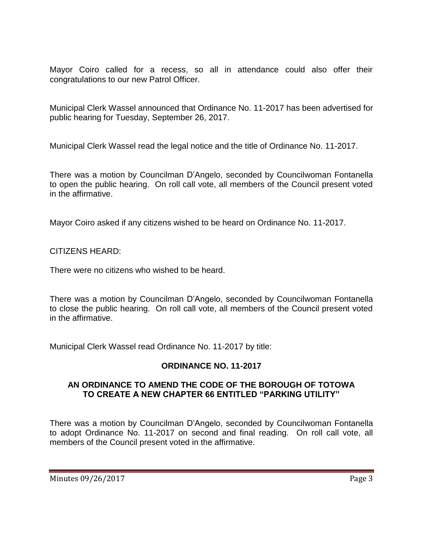Mayor Coiro called for a recess, so all in attendance could also offer their congratulations to our new Patrol Officer.

Municipal Clerk Wassel announced that Ordinance No. 11-2017 has been advertised for public hearing for Tuesday, September 26, 2017.

Municipal Clerk Wassel read the legal notice and the title of Ordinance No. 11-2017.

There was a motion by Councilman D'Angelo, seconded by Councilwoman Fontanella to open the public hearing. On roll call vote, all members of the Council present voted in the affirmative.

Mayor Coiro asked if any citizens wished to be heard on Ordinance No. 11-2017.

CITIZENS HEARD:

There were no citizens who wished to be heard.

There was a motion by Councilman D'Angelo, seconded by Councilwoman Fontanella to close the public hearing. On roll call vote, all members of the Council present voted in the affirmative.

Municipal Clerk Wassel read Ordinance No. 11-2017 by title:

## **ORDINANCE NO. 11-2017**

## **AN ORDINANCE TO AMEND THE CODE OF THE BOROUGH OF TOTOWA TO CREATE A NEW CHAPTER 66 ENTITLED "PARKING UTILITY"**

There was a motion by Councilman D'Angelo, seconded by Councilwoman Fontanella to adopt Ordinance No. 11-2017 on second and final reading. On roll call vote, all members of the Council present voted in the affirmative.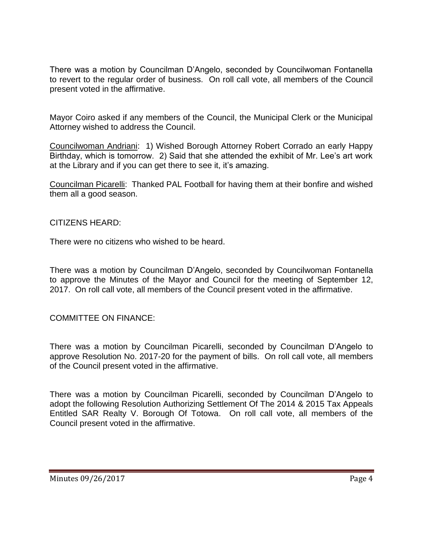There was a motion by Councilman D'Angelo, seconded by Councilwoman Fontanella to revert to the regular order of business. On roll call vote, all members of the Council present voted in the affirmative.

Mayor Coiro asked if any members of the Council, the Municipal Clerk or the Municipal Attorney wished to address the Council.

Councilwoman Andriani: 1) Wished Borough Attorney Robert Corrado an early Happy Birthday, which is tomorrow. 2) Said that she attended the exhibit of Mr. Lee's art work at the Library and if you can get there to see it, it's amazing.

Councilman Picarelli: Thanked PAL Football for having them at their bonfire and wished them all a good season.

#### CITIZENS HEARD:

There were no citizens who wished to be heard.

There was a motion by Councilman D'Angelo, seconded by Councilwoman Fontanella to approve the Minutes of the Mayor and Council for the meeting of September 12, 2017. On roll call vote, all members of the Council present voted in the affirmative.

COMMITTEE ON FINANCE:

There was a motion by Councilman Picarelli, seconded by Councilman D'Angelo to approve Resolution No. 2017-20 for the payment of bills. On roll call vote, all members of the Council present voted in the affirmative.

There was a motion by Councilman Picarelli, seconded by Councilman D'Angelo to adopt the following Resolution Authorizing Settlement Of The 2014 & 2015 Tax Appeals Entitled SAR Realty V. Borough Of Totowa. On roll call vote, all members of the Council present voted in the affirmative.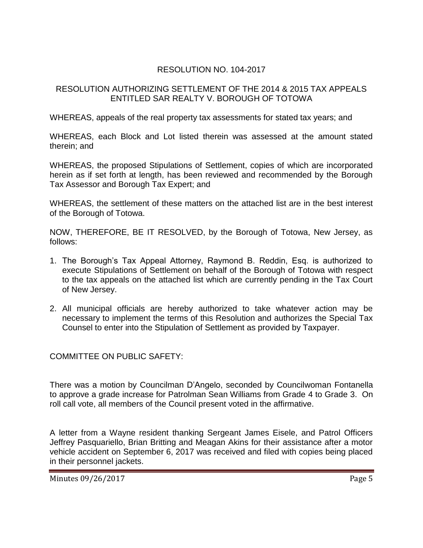# RESOLUTION NO. 104-2017

#### RESOLUTION AUTHORIZING SETTLEMENT OF THE 2014 & 2015 TAX APPEALS ENTITLED SAR REALTY V. BOROUGH OF TOTOWA

WHEREAS, appeals of the real property tax assessments for stated tax years; and

WHEREAS, each Block and Lot listed therein was assessed at the amount stated therein; and

WHEREAS, the proposed Stipulations of Settlement, copies of which are incorporated herein as if set forth at length, has been reviewed and recommended by the Borough Tax Assessor and Borough Tax Expert; and

WHEREAS, the settlement of these matters on the attached list are in the best interest of the Borough of Totowa.

NOW, THEREFORE, BE IT RESOLVED, by the Borough of Totowa, New Jersey, as follows:

- 1. The Borough's Tax Appeal Attorney, Raymond B. Reddin, Esq. is authorized to execute Stipulations of Settlement on behalf of the Borough of Totowa with respect to the tax appeals on the attached list which are currently pending in the Tax Court of New Jersey.
- 2. All municipal officials are hereby authorized to take whatever action may be necessary to implement the terms of this Resolution and authorizes the Special Tax Counsel to enter into the Stipulation of Settlement as provided by Taxpayer.

COMMITTEE ON PUBLIC SAFETY:

There was a motion by Councilman D'Angelo, seconded by Councilwoman Fontanella to approve a grade increase for Patrolman Sean Williams from Grade 4 to Grade 3. On roll call vote, all members of the Council present voted in the affirmative.

A letter from a Wayne resident thanking Sergeant James Eisele, and Patrol Officers Jeffrey Pasquariello, Brian Britting and Meagan Akins for their assistance after a motor vehicle accident on September 6, 2017 was received and filed with copies being placed in their personnel jackets.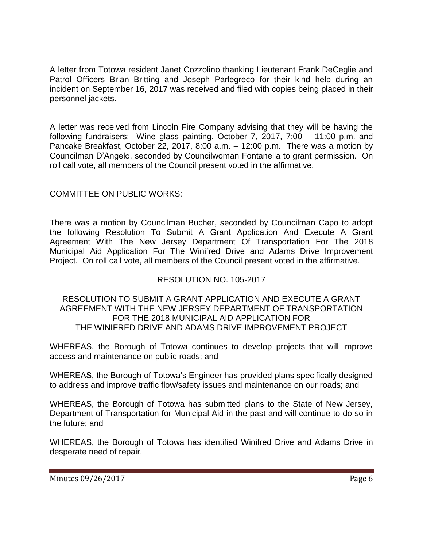A letter from Totowa resident Janet Cozzolino thanking Lieutenant Frank DeCeglie and Patrol Officers Brian Britting and Joseph Parlegreco for their kind help during an incident on September 16, 2017 was received and filed with copies being placed in their personnel jackets.

A letter was received from Lincoln Fire Company advising that they will be having the following fundraisers: Wine glass painting, October 7, 2017, 7:00 – 11:00 p.m. and Pancake Breakfast, October 22, 2017, 8:00 a.m. – 12:00 p.m. There was a motion by Councilman D'Angelo, seconded by Councilwoman Fontanella to grant permission. On roll call vote, all members of the Council present voted in the affirmative.

# COMMITTEE ON PUBLIC WORKS:

There was a motion by Councilman Bucher, seconded by Councilman Capo to adopt the following Resolution To Submit A Grant Application And Execute A Grant Agreement With The New Jersey Department Of Transportation For The 2018 Municipal Aid Application For The Winifred Drive and Adams Drive Improvement Project. On roll call vote, all members of the Council present voted in the affirmative.

## RESOLUTION NO. 105-2017

#### RESOLUTION TO SUBMIT A GRANT APPLICATION AND EXECUTE A GRANT AGREEMENT WITH THE NEW JERSEY DEPARTMENT OF TRANSPORTATION FOR THE 2018 MUNICIPAL AID APPLICATION FOR THE WINIFRED DRIVE AND ADAMS DRIVE IMPROVEMENT PROJECT

WHEREAS, the Borough of Totowa continues to develop projects that will improve access and maintenance on public roads; and

WHEREAS, the Borough of Totowa's Engineer has provided plans specifically designed to address and improve traffic flow/safety issues and maintenance on our roads; and

WHEREAS, the Borough of Totowa has submitted plans to the State of New Jersey, Department of Transportation for Municipal Aid in the past and will continue to do so in the future; and

WHEREAS, the Borough of Totowa has identified Winifred Drive and Adams Drive in desperate need of repair.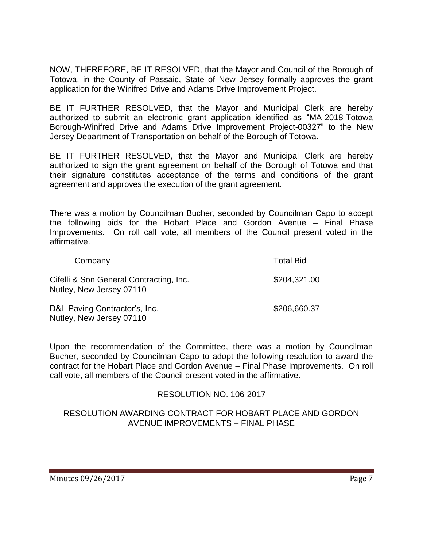NOW, THEREFORE, BE IT RESOLVED, that the Mayor and Council of the Borough of Totowa, in the County of Passaic, State of New Jersey formally approves the grant application for the Winifred Drive and Adams Drive Improvement Project.

BE IT FURTHER RESOLVED, that the Mayor and Municipal Clerk are hereby authorized to submit an electronic grant application identified as "MA-2018-Totowa Borough-Winifred Drive and Adams Drive Improvement Project-00327" to the New Jersey Department of Transportation on behalf of the Borough of Totowa.

BE IT FURTHER RESOLVED, that the Mayor and Municipal Clerk are hereby authorized to sign the grant agreement on behalf of the Borough of Totowa and that their signature constitutes acceptance of the terms and conditions of the grant agreement and approves the execution of the grant agreement.

There was a motion by Councilman Bucher, seconded by Councilman Capo to accept the following bids for the Hobart Place and Gordon Avenue – Final Phase Improvements. On roll call vote, all members of the Council present voted in the affirmative.

| Company                                                             | <b>Total Bid</b> |
|---------------------------------------------------------------------|------------------|
| Cifelli & Son General Contracting, Inc.<br>Nutley, New Jersey 07110 | \$204,321.00     |
| D&L Paving Contractor's, Inc.<br>Nutley, New Jersey 07110           | \$206,660.37     |

Upon the recommendation of the Committee, there was a motion by Councilman Bucher, seconded by Councilman Capo to adopt the following resolution to award the contract for the Hobart Place and Gordon Avenue – Final Phase Improvements. On roll call vote, all members of the Council present voted in the affirmative.

## RESOLUTION NO. 106-2017

## RESOLUTION AWARDING CONTRACT FOR HOBART PLACE AND GORDON AVENUE IMPROVEMENTS – FINAL PHASE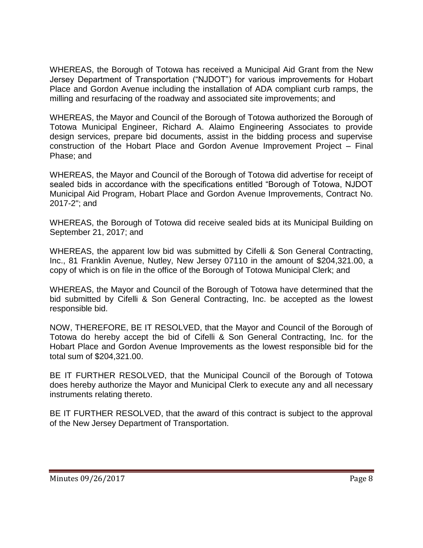WHEREAS, the Borough of Totowa has received a Municipal Aid Grant from the New Jersey Department of Transportation ("NJDOT") for various improvements for Hobart Place and Gordon Avenue including the installation of ADA compliant curb ramps, the milling and resurfacing of the roadway and associated site improvements; and

WHEREAS, the Mayor and Council of the Borough of Totowa authorized the Borough of Totowa Municipal Engineer, Richard A. Alaimo Engineering Associates to provide design services, prepare bid documents, assist in the bidding process and supervise construction of the Hobart Place and Gordon Avenue Improvement Project – Final Phase; and

WHEREAS, the Mayor and Council of the Borough of Totowa did advertise for receipt of sealed bids in accordance with the specifications entitled "Borough of Totowa, NJDOT Municipal Aid Program, Hobart Place and Gordon Avenue Improvements, Contract No. 2017-2"; and

WHEREAS, the Borough of Totowa did receive sealed bids at its Municipal Building on September 21, 2017; and

WHEREAS, the apparent low bid was submitted by Cifelli & Son General Contracting, Inc., 81 Franklin Avenue, Nutley, New Jersey 07110 in the amount of \$204,321.00, a copy of which is on file in the office of the Borough of Totowa Municipal Clerk; and

WHEREAS, the Mayor and Council of the Borough of Totowa have determined that the bid submitted by Cifelli & Son General Contracting, Inc. be accepted as the lowest responsible bid.

NOW, THEREFORE, BE IT RESOLVED, that the Mayor and Council of the Borough of Totowa do hereby accept the bid of Cifelli & Son General Contracting, Inc. for the Hobart Place and Gordon Avenue Improvements as the lowest responsible bid for the total sum of \$204,321.00.

BE IT FURTHER RESOLVED, that the Municipal Council of the Borough of Totowa does hereby authorize the Mayor and Municipal Clerk to execute any and all necessary instruments relating thereto.

BE IT FURTHER RESOLVED, that the award of this contract is subject to the approval of the New Jersey Department of Transportation.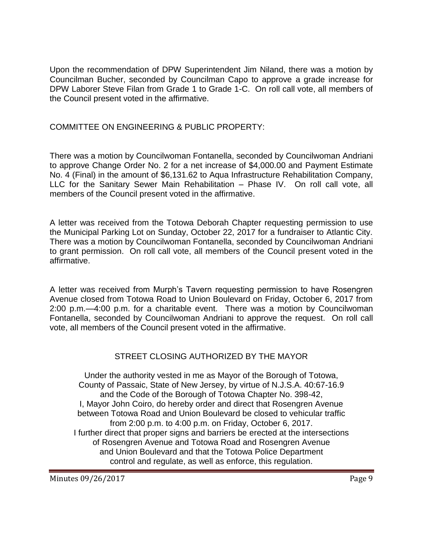Upon the recommendation of DPW Superintendent Jim Niland, there was a motion by Councilman Bucher, seconded by Councilman Capo to approve a grade increase for DPW Laborer Steve Filan from Grade 1 to Grade 1-C. On roll call vote, all members of the Council present voted in the affirmative.

## COMMITTEE ON ENGINEERING & PUBLIC PROPERTY:

There was a motion by Councilwoman Fontanella, seconded by Councilwoman Andriani to approve Change Order No. 2 for a net increase of \$4,000.00 and Payment Estimate No. 4 (Final) in the amount of \$6,131.62 to Aqua Infrastructure Rehabilitation Company, LLC for the Sanitary Sewer Main Rehabilitation – Phase IV. On roll call vote, all members of the Council present voted in the affirmative.

A letter was received from the Totowa Deborah Chapter requesting permission to use the Municipal Parking Lot on Sunday, October 22, 2017 for a fundraiser to Atlantic City. There was a motion by Councilwoman Fontanella, seconded by Councilwoman Andriani to grant permission. On roll call vote, all members of the Council present voted in the affirmative.

A letter was received from Murph's Tavern requesting permission to have Rosengren Avenue closed from Totowa Road to Union Boulevard on Friday, October 6, 2017 from 2:00 p.m.—4:00 p.m. for a charitable event. There was a motion by Councilwoman Fontanella, seconded by Councilwoman Andriani to approve the request. On roll call vote, all members of the Council present voted in the affirmative.

## STREET CLOSING AUTHORIZED BY THE MAYOR

Under the authority vested in me as Mayor of the Borough of Totowa, County of Passaic, State of New Jersey, by virtue of N.J.S.A. 40:67-16.9 and the Code of the Borough of Totowa Chapter No. 398-42, I, Mayor John Coiro, do hereby order and direct that Rosengren Avenue between Totowa Road and Union Boulevard be closed to vehicular traffic from 2:00 p.m. to 4:00 p.m. on Friday, October 6, 2017. I further direct that proper signs and barriers be erected at the intersections of Rosengren Avenue and Totowa Road and Rosengren Avenue and Union Boulevard and that the Totowa Police Department control and regulate, as well as enforce, this regulation.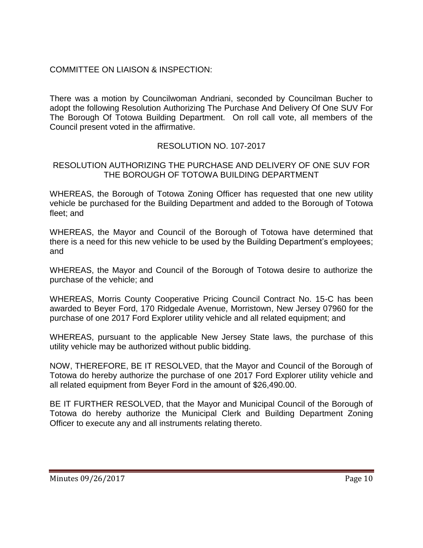# COMMITTEE ON LIAISON & INSPECTION:

There was a motion by Councilwoman Andriani, seconded by Councilman Bucher to adopt the following Resolution Authorizing The Purchase And Delivery Of One SUV For The Borough Of Totowa Building Department. On roll call vote, all members of the Council present voted in the affirmative.

## RESOLUTION NO. 107-2017

#### RESOLUTION AUTHORIZING THE PURCHASE AND DELIVERY OF ONE SUV FOR THE BOROUGH OF TOTOWA BUILDING DEPARTMENT

WHEREAS, the Borough of Totowa Zoning Officer has requested that one new utility vehicle be purchased for the Building Department and added to the Borough of Totowa fleet; and

WHEREAS, the Mayor and Council of the Borough of Totowa have determined that there is a need for this new vehicle to be used by the Building Department's employees; and

WHEREAS, the Mayor and Council of the Borough of Totowa desire to authorize the purchase of the vehicle; and

WHEREAS, Morris County Cooperative Pricing Council Contract No. 15-C has been awarded to Beyer Ford, 170 Ridgedale Avenue, Morristown, New Jersey 07960 for the purchase of one 2017 Ford Explorer utility vehicle and all related equipment; and

WHEREAS, pursuant to the applicable New Jersey State laws, the purchase of this utility vehicle may be authorized without public bidding.

NOW, THEREFORE, BE IT RESOLVED, that the Mayor and Council of the Borough of Totowa do hereby authorize the purchase of one 2017 Ford Explorer utility vehicle and all related equipment from Beyer Ford in the amount of \$26,490.00.

BE IT FURTHER RESOLVED, that the Mayor and Municipal Council of the Borough of Totowa do hereby authorize the Municipal Clerk and Building Department Zoning Officer to execute any and all instruments relating thereto.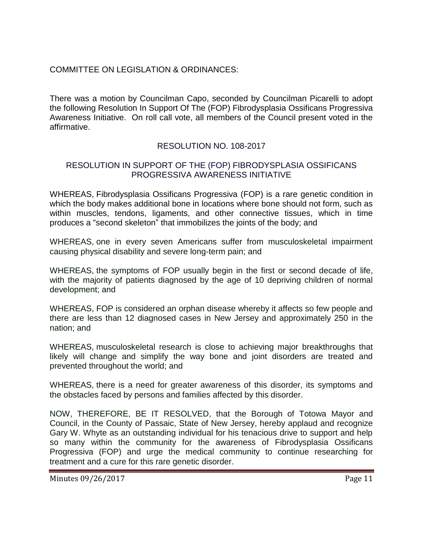# COMMITTEE ON LEGISLATION & ORDINANCES:

There was a motion by Councilman Capo, seconded by Councilman Picarelli to adopt the following Resolution In Support Of The (FOP) Fibrodysplasia Ossificans Progressiva Awareness Initiative. On roll call vote, all members of the Council present voted in the affirmative.

## RESOLUTION NO. 108-2017

#### RESOLUTION IN SUPPORT OF THE (FOP) FIBRODYSPLASIA OSSIFICANS PROGRESSIVA AWARENESS INITIATIVE

WHEREAS, Fibrodysplasia Ossificans Progressiva (FOP) is a rare genetic condition in which the body makes additional bone in locations where bone should not form, such as within muscles, tendons, ligaments, and other connective tissues, which in time produces a "second skeleton" that immobilizes the joints of the body; and

WHEREAS, one in every seven Americans suffer from musculoskeletal impairment causing physical disability and severe long-term pain; and

WHEREAS, the symptoms of FOP usually begin in the first or second decade of life, with the majority of patients diagnosed by the age of 10 depriving children of normal development; and

WHEREAS, FOP is considered an orphan disease whereby it affects so few people and there are less than 12 diagnosed cases in New Jersey and approximately 250 in the nation; and

WHEREAS, musculoskeletal research is close to achieving major breakthroughs that likely will change and simplify the way bone and joint disorders are treated and prevented throughout the world; and

WHEREAS, there is a need for greater awareness of this disorder, its symptoms and the obstacles faced by persons and families affected by this disorder.

NOW, THEREFORE, BE IT RESOLVED, that the Borough of Totowa Mayor and Council, in the County of Passaic, State of New Jersey, hereby applaud and recognize Gary W. Whyte as an outstanding individual for his tenacious drive to support and help so many within the community for the awareness of Fibrodysplasia Ossificans Progressiva (FOP) and urge the medical community to continue researching for treatment and a cure for this rare genetic disorder.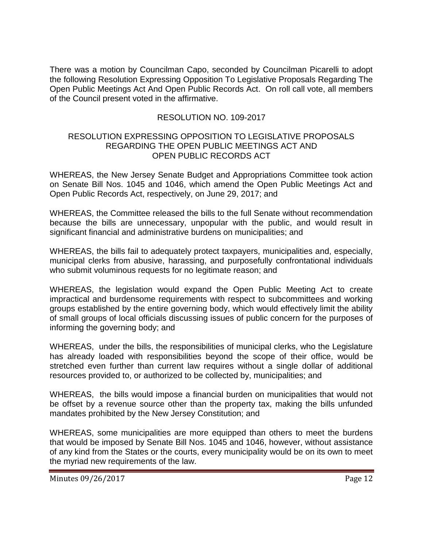There was a motion by Councilman Capo, seconded by Councilman Picarelli to adopt the following Resolution Expressing Opposition To Legislative Proposals Regarding The Open Public Meetings Act And Open Public Records Act. On roll call vote, all members of the Council present voted in the affirmative.

# RESOLUTION NO. 109-2017

#### RESOLUTION EXPRESSING OPPOSITION TO LEGISLATIVE PROPOSALS REGARDING THE OPEN PUBLIC MEETINGS ACT AND OPEN PUBLIC RECORDS ACT

WHEREAS, the New Jersey Senate Budget and Appropriations Committee took action on Senate Bill Nos. 1045 and 1046, which amend the Open Public Meetings Act and Open Public Records Act, respectively, on June 29, 2017; and

WHEREAS, the Committee released the bills to the full Senate without recommendation because the bills are unnecessary, unpopular with the public, and would result in significant financial and administrative burdens on municipalities; and

WHEREAS, the bills fail to adequately protect taxpayers, municipalities and, especially, municipal clerks from abusive, harassing, and purposefully confrontational individuals who submit voluminous requests for no legitimate reason; and

WHEREAS, the legislation would expand the Open Public Meeting Act to create impractical and burdensome requirements with respect to subcommittees and working groups established by the entire governing body, which would effectively limit the ability of small groups of local officials discussing issues of public concern for the purposes of informing the governing body; and

WHEREAS, under the bills, the responsibilities of municipal clerks, who the Legislature has already loaded with responsibilities beyond the scope of their office, would be stretched even further than current law requires without a single dollar of additional resources provided to, or authorized to be collected by, municipalities; and

WHEREAS, the bills would impose a financial burden on municipalities that would not be offset by a revenue source other than the property tax, making the bills unfunded mandates prohibited by the New Jersey Constitution; and

WHEREAS, some municipalities are more equipped than others to meet the burdens that would be imposed by Senate Bill Nos. 1045 and 1046, however, without assistance of any kind from the States or the courts, every municipality would be on its own to meet the myriad new requirements of the law.